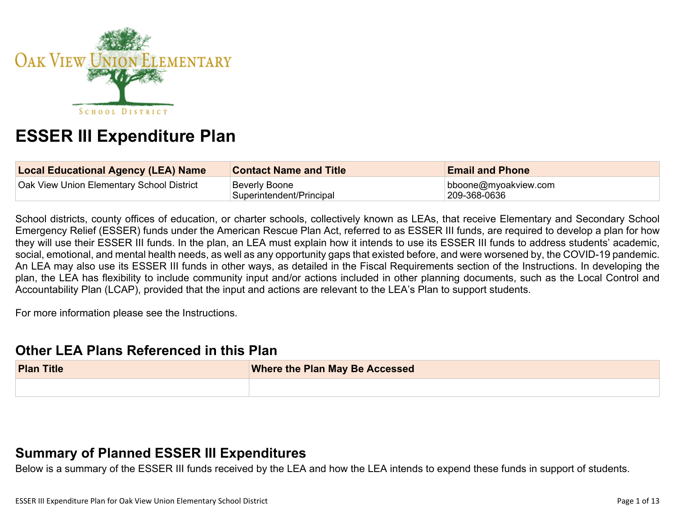

# **ESSER III Expenditure Plan**

| <b>Local Educational Agency (LEA) Name</b> | <b>Contact Name and Title</b>             | <b>Email and Phone</b>                |
|--------------------------------------------|-------------------------------------------|---------------------------------------|
| Oak View Union Elementary School District  | Beverly Boone<br>Superintendent/Principal | bboone@myoakview.com<br> 209-368-0636 |

School districts, county offices of education, or charter schools, collectively known as LEAs, that receive Elementary and Secondary School Emergency Relief (ESSER) funds under the American Rescue Plan Act, referred to as ESSER III funds, are required to develop a plan for how they will use their ESSER III funds. In the plan, an LEA must explain how it intends to use its ESSER III funds to address students' academic, social, emotional, and mental health needs, as well as any opportunity gaps that existed before, and were worsened by, the COVID-19 pandemic. An LEA may also use its ESSER III funds in other ways, as detailed in the Fiscal Requirements section of the Instructions. In developing the plan, the LEA has flexibility to include community input and/or actions included in other planning documents, such as the Local Control and Accountability Plan (LCAP), provided that the input and actions are relevant to the LEA's Plan to support students.

For more information please see the Instructions.

## **Other LEA Plans [Referenced](#page-7-0) in this Plan**

| <b>Plan Title</b> | <b>Where the Plan May Be Accessed</b> |  |
|-------------------|---------------------------------------|--|
|                   |                                       |  |

## **Summary of Planned ESSER III [Expenditures](#page-7-1)**

Below is a summary of the ESSER III funds received by the LEA and how the LEA intends to expend these funds in support of students.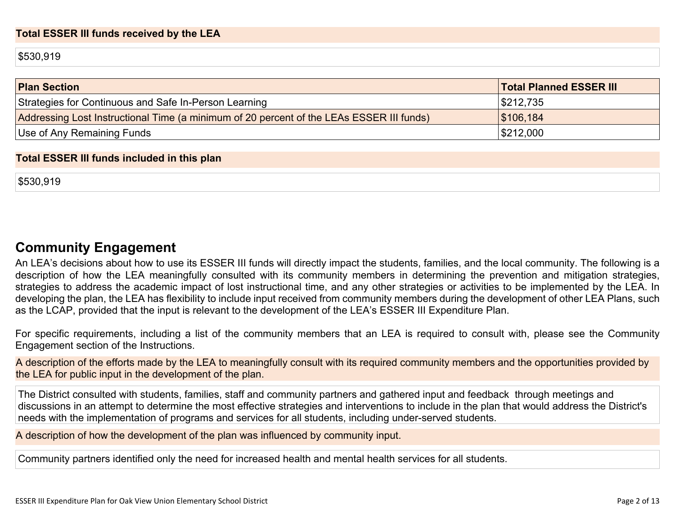#### **Total ESSER III funds received by the LEA**

\$530,919

| <b>Plan Section</b>                                                                      | <b>Total Planned ESSER III</b> |
|------------------------------------------------------------------------------------------|--------------------------------|
| Strategies for Continuous and Safe In-Person Learning                                    | \$212,735                      |
| Addressing Lost Instructional Time (a minimum of 20 percent of the LEAs ESSER III funds) | \$106,184                      |
| Use of Any Remaining Funds                                                               | \$212,000                      |

#### **Total ESSER III funds included in this plan**

\$530,919

## **Community [Engagement](#page-8-0)**

An LEA's decisions about how to use its ESSER III funds will directly impact the students, families, and the local community. The following is a description of how the LEA meaningfully consulted with its community members in determining the prevention and mitigation strategies, strategies to address the academic impact of lost instructional time, and any other strategies or activities to be implemented by the LEA. In developing the plan, the LEA has flexibility to include input received from community members during the development of other LEA Plans, such as the LCAP, provided that the input is relevant to the development of the LEA's ESSER III Expenditure Plan.

For specific requirements, including a list of the community members that an LEA is required to consult with, please see the Community Engagement section of the Instructions.

A description of the efforts made by the LEA to meaningfully consult with its required community members and the opportunities provided by the LEA for public input in the development of the plan.

The District consulted with students, families, staff and community partners and gathered input and feedback through meetings and discussions in an attempt to determine the most effective strategies and interventions to include in the plan that would address the District's needs with the implementation of programs and services for all students, including under-served students.

A description of how the development of the plan was influenced by community input.

Community partners identified only the need for increased health and mental health services for all students.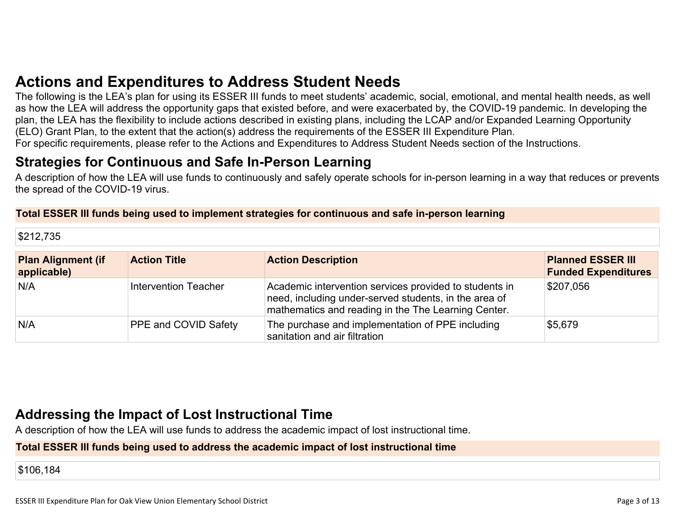# **Actions and [Expenditures](#page-10-0) to Address Student Needs**

The following is the LEA's plan for using its ESSER III funds to meet students' academic, social, emotional, and mental health needs, as well as how the LEA will address the opportunity gaps that existed before, and were exacerbated by, the COVID-19 pandemic. In developing the plan, the LEA has the flexibility to include actions described in existing plans, including the LCAP and/or Expanded Learning Opportunity (ELO) Grant Plan, to the extent that the action(s) address the requirements of the ESSER III Expenditure Plan. For specific requirements, please refer to the Actions and Expenditures to Address Student Needs section of the Instructions.

# **Strategies for [Continuous](#page-10-1) and Safe In-Person Learning**

A description of how the LEA will use funds to continuously and safely operate schools for in-person learning in a way that reduces or prevents the spread of the COVID-19 virus.

#### **Total ESSER III funds being used to implement strategies for continuous and safe in-person learning**

| \$212,735                                |                      |                                                                                                                                                                        |                                                        |
|------------------------------------------|----------------------|------------------------------------------------------------------------------------------------------------------------------------------------------------------------|--------------------------------------------------------|
| <b>Plan Alignment (if</b><br>applicable) | <b>Action Title</b>  | <b>Action Description</b>                                                                                                                                              | <b>Planned ESSER III</b><br><b>Funded Expenditures</b> |
| N/A                                      | Intervention Teacher | Academic intervention services provided to students in<br>need, including under-served students, in the area of<br>mathematics and reading in the The Learning Center. | \$207,056                                              |
| N/A                                      | PPE and COVID Safety | The purchase and implementation of PPE including<br>sanitation and air filtration                                                                                      | \$5,679                                                |

## **Addressing the Impact of Lost [Instructional](#page-11-0) Tim[e](#page-11-0)**

A description of how the LEA will use funds to address the academic impact of lost instructional time.

#### **Total ESSER III funds being used to address the academic impact of lost instructional time**

\$106,184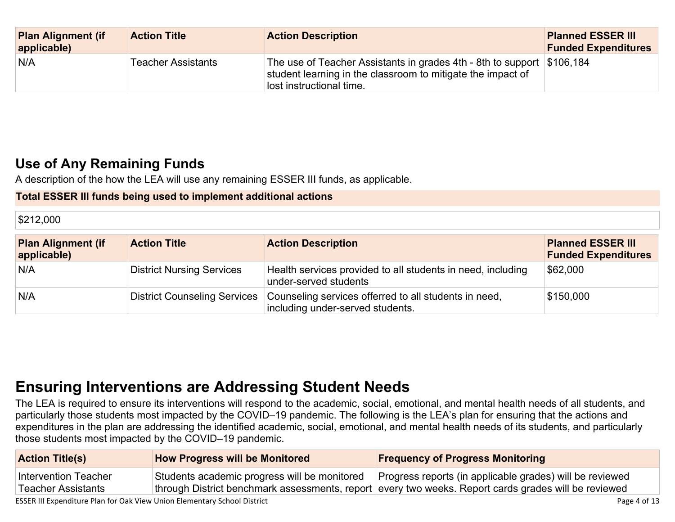| <b>Plan Alignment (if</b><br>applicable) | <b>Action Title</b>       | <b>Action Description</b>                                                                                                                                         | <b>Planned ESSER III</b><br><b>Funded Expenditures</b> |
|------------------------------------------|---------------------------|-------------------------------------------------------------------------------------------------------------------------------------------------------------------|--------------------------------------------------------|
| N/A                                      | <b>Teacher Assistants</b> | The use of Teacher Assistants in grades 4th - 8th to support \$106,184<br>student learning in the classroom to mitigate the impact of<br>lost instructional time. |                                                        |

## **Use of Any [Remaining](#page-11-1) Fund[s](#page-11-1)**

A description of the how the LEA will use any remaining ESSER III funds, as applicable.

### **Total ESSER III funds being used to implement additional actions**

\$212,000

| <b>Plan Alignment (if</b><br>applicable) | <b>Action Title</b>                 | <b>Action Description</b>                                                                 | <b>Planned ESSER III</b><br><b>Funded Expenditures</b> |
|------------------------------------------|-------------------------------------|-------------------------------------------------------------------------------------------|--------------------------------------------------------|
| N/A                                      | <b>District Nursing Services</b>    | Health services provided to all students in need, including<br>under-served students      | \$62,000                                               |
| N/A                                      | <b>District Counseling Services</b> | Counseling services offerred to all students in need,<br>including under-served students. | \$150,000                                              |

# **Ensuring [Interventions](#page-11-2) are Addressing Student Need[s](#page-11-2)**

The LEA is required to ensure its interventions will respond to the academic, social, emotional, and mental health needs of all students, and particularly those students most impacted by the COVID–19 pandemic. The following is the LEA's plan for ensuring that the actions and expenditures in the plan are addressing the identified academic, social, emotional, and mental health needs of its students, and particularly those students most impacted by the COVID–19 pandemic.

| <b>Action Title(s)</b>                            | <b>How Progress will be Monitored</b> | <b>Frequency of Progress Monitoring</b>                                                                                                                                                                         |
|---------------------------------------------------|---------------------------------------|-----------------------------------------------------------------------------------------------------------------------------------------------------------------------------------------------------------------|
| Intervention Teacher<br><b>Teacher Assistants</b> |                                       | Students academic progress will be monitored   Progress reports (in applicable grades) will be reviewed<br>through District benchmark assessments, report every two weeks. Report cards grades will be reviewed |

ESSER III Expenditure Plan for Oak View Union Elementary School District **Page 1 and Containers** Page 4 of 13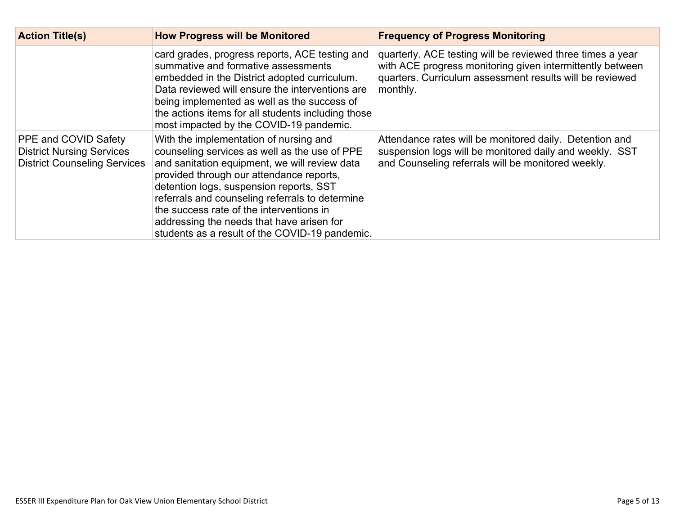| <b>Action Title(s)</b>                                                                          | <b>How Progress will be Monitored</b>                                                                                                                                                                                                                                                                                                                                                                                         | <b>Frequency of Progress Monitoring</b>                                                                                                                                                         |
|-------------------------------------------------------------------------------------------------|-------------------------------------------------------------------------------------------------------------------------------------------------------------------------------------------------------------------------------------------------------------------------------------------------------------------------------------------------------------------------------------------------------------------------------|-------------------------------------------------------------------------------------------------------------------------------------------------------------------------------------------------|
|                                                                                                 | card grades, progress reports, ACE testing and<br>summative and formative assessments<br>embedded in the District adopted curriculum.<br>Data reviewed will ensure the interventions are<br>being implemented as well as the success of<br>the actions items for all students including those<br>most impacted by the COVID-19 pandemic.                                                                                      | quarterly. ACE testing will be reviewed three times a year<br>with ACE progress monitoring given intermittently between<br>quarters. Curriculum assessment results will be reviewed<br>monthly. |
| PPE and COVID Safety<br><b>District Nursing Services</b><br><b>District Counseling Services</b> | With the implementation of nursing and<br>counseling services as well as the use of PPE<br>and sanitation equipment, we will review data<br>provided through our attendance reports,<br>detention logs, suspension reports, SST<br>referrals and counseling referrals to determine<br>the success rate of the interventions in<br>addressing the needs that have arisen for<br>students as a result of the COVID-19 pandemic. | Attendance rates will be monitored daily. Detention and<br>suspension logs will be monitored daily and weekly. SST<br>and Counseling referrals will be monitored weekly.                        |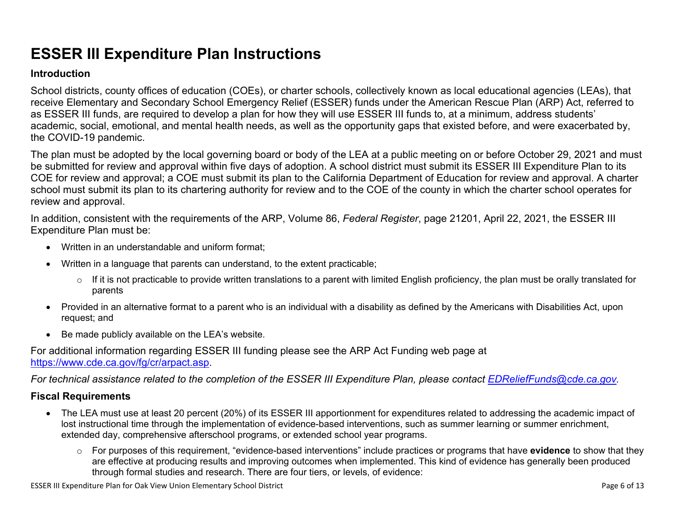# **ESSER III Expenditure Plan Instructions**

#### **Introduction**

School districts, county offices of education (COEs), or charter schools, collectively known as local educational agencies (LEAs), that receive Elementary and Secondary School Emergency Relief (ESSER) funds under the American Rescue Plan (ARP) Act, referred to as ESSER III funds, are required to develop a plan for how they will use ESSER III funds to, at a minimum, address students' academic, social, emotional, and mental health needs, as well as the opportunity gaps that existed before, and were exacerbated by, the COVID-19 pandemic.

The plan must be adopted by the local governing board or body of the LEA at a public meeting on or before October 29, 2021 and must be submitted for review and approval within five days of adoption. A school district must submit its ESSER III Expenditure Plan to its COE for review and approval; a COE must submit its plan to the California Department of Education for review and approval. A charter school must submit its plan to its chartering authority for review and to the COE of the county in which the charter school operates for review and approval.

In addition, consistent with the requirements of the ARP, Volume 86, *Federal Register*, page 21201, April 22, 2021, the ESSER III Expenditure Plan must be:

- Written in an understandable and uniform format;
- Written in a language that parents can understand, to the extent practicable;
	- $\circ$  If it is not practicable to provide written translations to a parent with limited English proficiency, the plan must be orally translated for parents
- Provided in an alternative format to a parent who is an individual with a disability as defined by the Americans with Disabilities Act, upon request; and
- Be made publicly available on the LEA's website.

For additional information regarding ESSER III funding please see the ARP Act Funding web page at <https://www.cde.ca.gov/fg/cr/arpact.asp>.

For technical assistance related to the completion of the ESSER III Expenditure Plan, please contact [EDReliefFunds@cde.ca.gov](mailto:EDReliefFunds@cde.ca.gov).

### **Fiscal Requirements**

- The LEA must use at least 20 percent (20%) of its ESSER III apportionment for expenditures related to addressing the academic impact of lost instructional time through the implementation of evidence-based interventions, such as summer learning or summer enrichment, extended day, comprehensive afterschool programs, or extended school year programs.
	- o For purposes of this requirement, "evidence-based interventions" include practices or programs that have **evidence** to show that they are effective at producing results and improving outcomes when implemented. This kind of evidence has generally been produced through formal studies and research. There are four tiers, or levels, of evidence:

ESSER III Expenditure Plan for Oak View Union Elementary School District **Page 6 of 13** and the state of 13 and the state Page 6 of 13 and the state Page 6 of 13 and the state Page 6 of 13 and the state Page 6 of 13 and th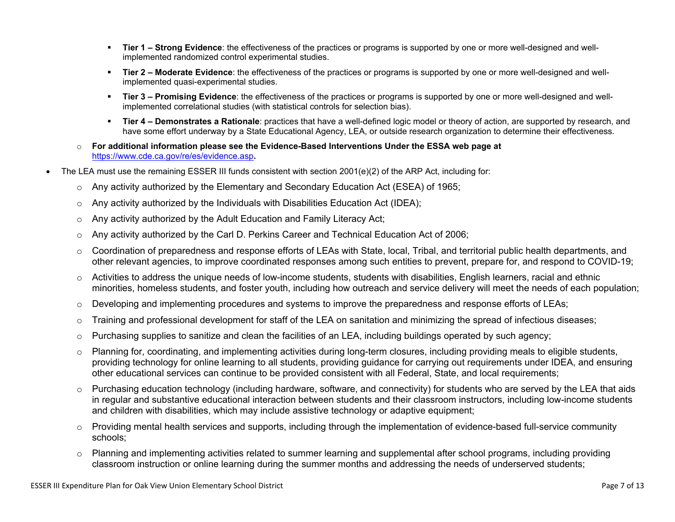- **Tier 1 – Strong Evidence**: the effectiveness of the practices or programs is supported by one or more well-designed and wellimplemented randomized control experimental studies.
- **Tier 2 – Moderate Evidence**: the effectiveness of the practices or programs is supported by one or more well-designed and wellimplemented quasi-experimental studies.
- **Tier 3 – Promising Evidence**: the effectiveness of the practices or programs is supported by one or more well-designed and wellimplemented correlational studies (with statistical controls for selection bias).
- **Tier 4 – Demonstrates a Rationale**: practices that have a well-defined logic model or theory of action, are supported by research, and have some effort underway by a State Educational Agency, LEA, or outside research organization to determine their effectiveness.
- o **For additional information please see the Evidence-Based Interventions Under the ESSA web page at** <https://www.cde.ca.gov/re/es/evidence.asp>**.**
- The LEA must use the remaining ESSER III funds consistent with section 2001(e)(2) of the ARP Act, including for:
	- $\circ$  Any activity authorized by the Elementary and Secondary Education Act (ESEA) of 1965;
	- $\circ$  Any activity authorized by the Individuals with Disabilities Education Act (IDEA);
	- o Any activity authorized by the Adult Education and Family Literacy Act;
	- $\circ$  Any activity authorized by the Carl D. Perkins Career and Technical Education Act of 2006;
	- $\circ$  Coordination of preparedness and response efforts of LEAs with State, local, Tribal, and territorial public health departments, and other relevant agencies, to improve coordinated responses among such entities to prevent, prepare for, and respond to COVID-19;
	- $\circ$  Activities to address the unique needs of low-income students, students with disabilities, English learners, racial and ethnic minorities, homeless students, and foster youth, including how outreach and service delivery will meet the needs of each population;
	- o Developing and implementing procedures and systems to improve the preparedness and response efforts of LEAs;
	- $\circ$  Training and professional development for staff of the LEA on sanitation and minimizing the spread of infectious diseases;
	- $\circ$  Purchasing supplies to sanitize and clean the facilities of an LEA, including buildings operated by such agency;
	- $\circ$  Planning for, coordinating, and implementing activities during long-term closures, including providing meals to eligible students, providing technology for online learning to all students, providing guidance for carrying out requirements under IDEA, and ensuring other educational services can continue to be provided consistent with all Federal, State, and local requirements;
	- $\circ$  Purchasing education technology (including hardware, software, and connectivity) for students who are served by the LEA that aids in regular and substantive educational interaction between students and their classroom instructors, including low-income students and children with disabilities, which may include assistive technology or adaptive equipment;
	- $\circ$  Providing mental health services and supports, including through the implementation of evidence-based full-service community schools;
	- o Planning and implementing activities related to summer learning and supplemental after school programs, including providing classroom instruction or online learning during the summer months and addressing the needs of underserved students;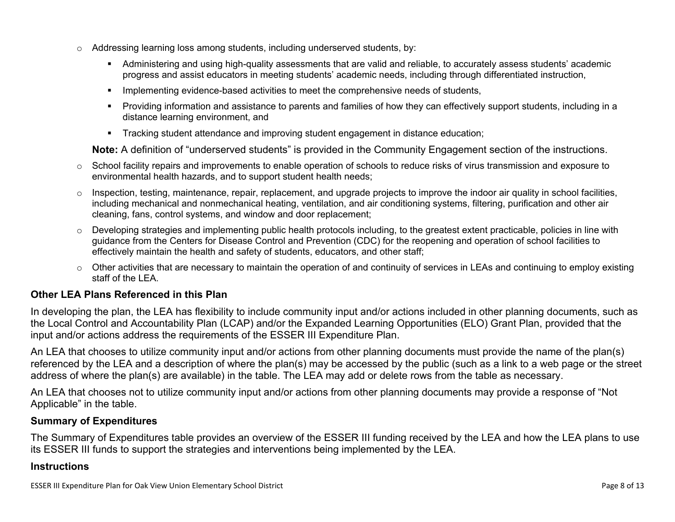- $\circ$  Addressing learning loss among students, including underserved students, by:
	- Administering and using high-quality assessments that are valid and reliable, to accurately assess students' academic progress and assist educators in meeting students' academic needs, including through differentiated instruction,
	- **IMPLEMENTER IMPLEMENT EVALUATE:** Implementing evidence-based activities to meet the comprehensive needs of students,
	- Providing information and assistance to parents and families of how they can effectively support students, including in a distance learning environment, and
	- Tracking student attendance and improving student engagement in distance education;

**Note:** A definition of "underserved students" is provided in the Community Engagement section of the instructions.

- $\circ$  School facility repairs and improvements to enable operation of schools to reduce risks of virus transmission and exposure to environmental health hazards, and to support student health needs;
- $\circ$  Inspection, testing, maintenance, repair, replacement, and upgrade projects to improve the indoor air quality in school facilities, including mechanical and nonmechanical heating, ventilation, and air conditioning systems, filtering, purification and other air cleaning, fans, control systems, and window and door replacement;
- $\circ$  Developing strategies and implementing public health protocols including, to the greatest extent practicable, policies in line with guidance from the Centers for Disease Control and Prevention (CDC) for the reopening and operation of school facilities to effectively maintain the health and safety of students, educators, and other staff;
- $\circ$  Other activities that are necessary to maintain the operation of and continuity of services in LEAs and continuing to employ existing staff of the LEA.

### <span id="page-7-0"></span>**Other LEA Plans Referenced in this Plan**

In developing the plan, the LEA has flexibility to include community input and/or actions included in other planning documents, such as the Local Control and Accountability Plan (LCAP) and/or the Expanded Learning Opportunities (ELO) Grant Plan, provided that the input and/or actions address the requirements of the ESSER III Expenditure Plan.

An LEA that chooses to utilize community input and/or actions from other planning documents must provide the name of the plan(s) referenced by the LEA and a description of where the plan(s) may be accessed by the public (such as a link to a web page or the street address of where the plan(s) are available) in the table. The LEA may add or delete rows from the table as necessary.

An LEA that chooses not to utilize community input and/or actions from other planning documents may provide a response of "Not Applicable" in the table.

### <span id="page-7-1"></span>**Summary of Expenditures**

The Summary of Expenditures table provides an overview of the ESSER III funding received by the LEA and how the LEA plans to use its ESSER III funds to support the strategies and interventions being implemented by the LEA.

#### **Instructions**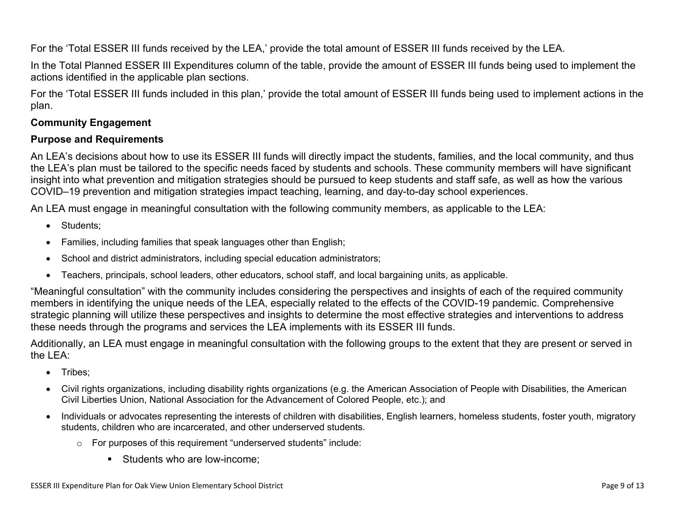For the 'Total ESSER III funds received by the LEA,' provide the total amount of ESSER III funds received by the LEA.

In the Total Planned ESSER III Expenditures column of the table, provide the amount of ESSER III funds being used to implement the actions identified in the applicable plan sections.

For the 'Total ESSER III funds included in this plan,' provide the total amount of ESSER III funds being used to implement actions in the plan.

### <span id="page-8-0"></span>**Community Engagement**

### **Purpose and Requirements**

An LEA's decisions about how to use its ESSER III funds will directly impact the students, families, and the local community, and thus the LEA's plan must be tailored to the specific needs faced by students and schools. These community members will have significant insight into what prevention and mitigation strategies should be pursued to keep students and staff safe, as well as how the various COVID–19 prevention and mitigation strategies impact teaching, learning, and day-to-day school experiences.

An LEA must engage in meaningful consultation with the following community members, as applicable to the LEA:

- Students:
- Families, including families that speak languages other than English;
- School and district administrators, including special education administrators;
- Teachers, principals, school leaders, other educators, school staff, and local bargaining units, as applicable.

"Meaningful consultation" with the community includes considering the perspectives and insights of each of the required community members in identifying the unique needs of the LEA, especially related to the effects of the COVID-19 pandemic. Comprehensive strategic planning will utilize these perspectives and insights to determine the most effective strategies and interventions to address these needs through the programs and services the LEA implements with its ESSER III funds.

Additionally, an LEA must engage in meaningful consultation with the following groups to the extent that they are present or served in the LEA:

- Tribes;
- Civil rights organizations, including disability rights organizations (e.g. the American Association of People with Disabilities, the American Civil Liberties Union, National Association for the Advancement of Colored People, etc.); and
- Individuals or advocates representing the interests of children with disabilities, English learners, homeless students, foster youth, migratory students, children who are incarcerated, and other underserved students.
	- o For purposes of this requirement "underserved students" include:
		- **Students who are low-income:**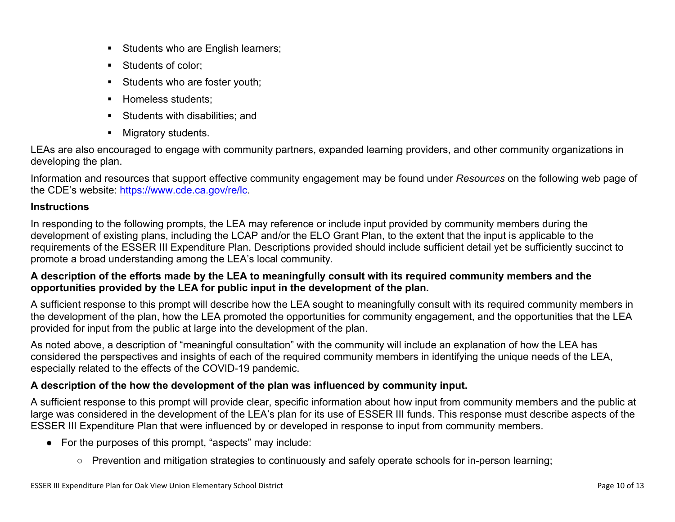- Students who are English learners;
- Students of color:
- Students who are foster youth;
- Homeless students;
- **Students with disabilities: and**
- **Migratory students.**

LEAs are also encouraged to engage with community partners, expanded learning providers, and other community organizations in developing the plan.

Information and resources that support effective community engagement may be found under *Resources* on the following web page of the CDE's website: <https://www.cde.ca.gov/re/lc>.

### **Instructions**

In responding to the following prompts, the LEA may reference or include input provided by community members during the development of existing plans, including the LCAP and/or the ELO Grant Plan, to the extent that the input is applicable to the requirements of the ESSER III Expenditure Plan. Descriptions provided should include sufficient detail yet be sufficiently succinct to promote a broad understanding among the LEA's local community.

### A description of the efforts made by the LEA to meaningfully consult with its required community members and the **opportunities provided by the LEA for public input in the development of the plan.**

A sufficient response to this prompt will describe how the LEA sought to meaningfully consult with its required community members in the development of the plan, how the LEA promoted the opportunities for community engagement, and the opportunities that the LEA provided for input from the public at large into the development of the plan.

As noted above, a description of "meaningful consultation" with the community will include an explanation of how the LEA has considered the perspectives and insights of each of the required community members in identifying the unique needs of the LEA, especially related to the effects of the COVID-19 pandemic.

## **A description of the how the development of the plan was influenced by community input.**

A sufficient response to this prompt will provide clear, specific information about how input from community members and the public at large was considered in the development of the LEA's plan for its use of ESSER III funds. This response must describe aspects of the ESSER III Expenditure Plan that were influenced by or developed in response to input from community members.

- For the purposes of this prompt, "aspects" may include:
	- Prevention and mitigation strategies to continuously and safely operate schools for in-person learning;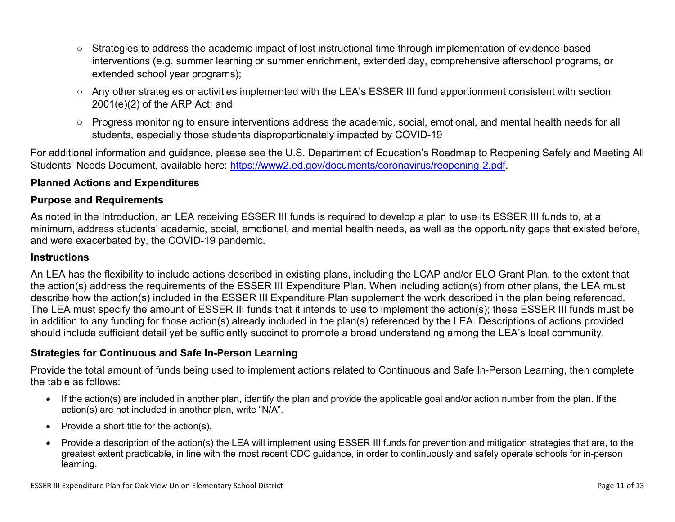- Strategies to address the academic impact of lost instructional time through implementation of evidence-based interventions (e.g. summer learning or summer enrichment, extended day, comprehensive afterschool programs, or extended school year programs);
- Any other strategies or activities implemented with the LEA's ESSER III fund apportionment consistent with section 2001(e)(2) of the ARP Act; and
- Progress monitoring to ensure interventions address the academic, social, emotional, and mental health needs for all students, especially those students disproportionately impacted by COVID-19

For additional information and guidance, please see the U.S. Department of Education's Roadmap to Reopening Safely and Meeting All Students' Needs Document, available here: [https://www2.ed.gov/documents/coronavirus/reopening-2.pdf.](https://www2.ed.gov/documents/coronavirus/reopening-2.pdf)

### <span id="page-10-0"></span>**Planned Actions and Expenditures**

#### **Purpose and Requirements**

As noted in the Introduction, an LEA receiving ESSER III funds is required to develop a plan to use its ESSER III funds to, at a minimum, address students' academic, social, emotional, and mental health needs, as well as the opportunity gaps that existed before, and were exacerbated by, the COVID-19 pandemic.

#### **Instructions**

An LEA has the flexibility to include actions described in existing plans, including the LCAP and/or ELO Grant Plan, to the extent that the action(s) address the requirements of the ESSER III Expenditure Plan. When including action(s) from other plans, the LEA must describe how the action(s) included in the ESSER III Expenditure Plan supplement the work described in the plan being referenced. The LEA must specify the amount of ESSER III funds that it intends to use to implement the action(s); these ESSER III funds must be in addition to any funding for those action(s) already included in the plan(s) referenced by the LEA. Descriptions of actions provided should include sufficient detail yet be sufficiently succinct to promote a broad understanding among the LEA's local community.

#### <span id="page-10-1"></span>**Strategies for Continuous and Safe In-Person Learning**

Provide the total amount of funds being used to implement actions related to Continuous and Safe In-Person Learning, then complete the table as follows:

- If the action(s) are included in another plan, identify the plan and provide the applicable goal and/or action number from the plan. If the action(s) are not included in another plan, write "N/A".
- Provide a short title for the  $action(s)$ .
- Provide a description of the action(s) the LEA will implement using ESSER III funds for prevention and mitigation strategies that are, to the greatest extent practicable, in line with the most recent CDC guidance, in order to continuously and safely operate schools for in-person learning.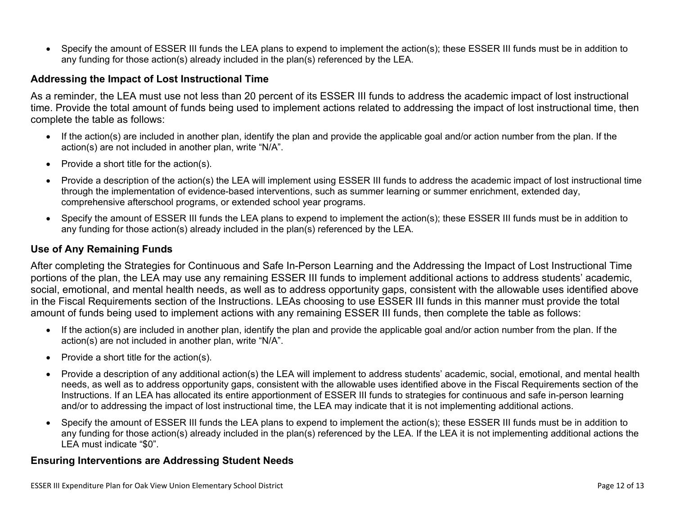Specify the amount of ESSER III funds the LEA plans to expend to implement the action(s); these ESSER III funds must be in addition to any funding for those action(s) already included in the plan(s) referenced by the LEA.

#### <span id="page-11-0"></span>**Addressing the Impact of Lost Instructional Time**

As a reminder, the LEA must use not less than 20 percent of its ESSER III funds to address the academic impact of lost instructional time. Provide the total amount of funds being used to implement actions related to addressing the impact of lost instructional time, then complete the table as follows:

- If the action(s) are included in another plan, identify the plan and provide the applicable goal and/or action number from the plan. If the action(s) are not included in another plan, write "N/A".
- Provide a short title for the  $action(s)$ .
- Provide a description of the action(s) the LEA will implement using ESSER III funds to address the academic impact of lost instructional time through the implementation of evidence-based interventions, such as summer learning or summer enrichment, extended day, comprehensive afterschool programs, or extended school year programs.
- Specify the amount of ESSER III funds the LEA plans to expend to implement the action(s); these ESSER III funds must be in addition to any funding for those action(s) already included in the plan(s) referenced by the LEA.

#### <span id="page-11-1"></span>**Use of Any Remaining Funds**

After completing the Strategies for Continuous and Safe In-Person Learning and the Addressing the Impact of Lost Instructional Time portions of the plan, the LEA may use any remaining ESSER III funds to implement additional actions to address students' academic, social, emotional, and mental health needs, as well as to address opportunity gaps, consistent with the allowable uses identified above in the Fiscal Requirements section of the Instructions. LEAs choosing to use ESSER III funds in this manner must provide the total amount of funds being used to implement actions with any remaining ESSER III funds, then complete the table as follows:

- If the action(s) are included in another plan, identify the plan and provide the applicable goal and/or action number from the plan. If the action(s) are not included in another plan, write "N/A".
- Provide a short title for the  $action(s)$ .
- Provide a description of any additional action(s) the LEA will implement to address students' academic, social, emotional, and mental health needs, as well as to address opportunity gaps, consistent with the allowable uses identified above in the Fiscal Requirements section of the Instructions. If an LEA has allocated its entire apportionment of ESSER III funds to strategies for continuous and safe in-person learning and/or to addressing the impact of lost instructional time, the LEA may indicate that it is not implementing additional actions.
- Specify the amount of ESSER III funds the LEA plans to expend to implement the action(s); these ESSER III funds must be in addition to any funding for those action(s) already included in the plan(s) referenced by the LEA. If the LEA it is not implementing additional actions the LEA must indicate "\$0".

#### <span id="page-11-2"></span>**Ensuring Interventions are Addressing Student Needs**